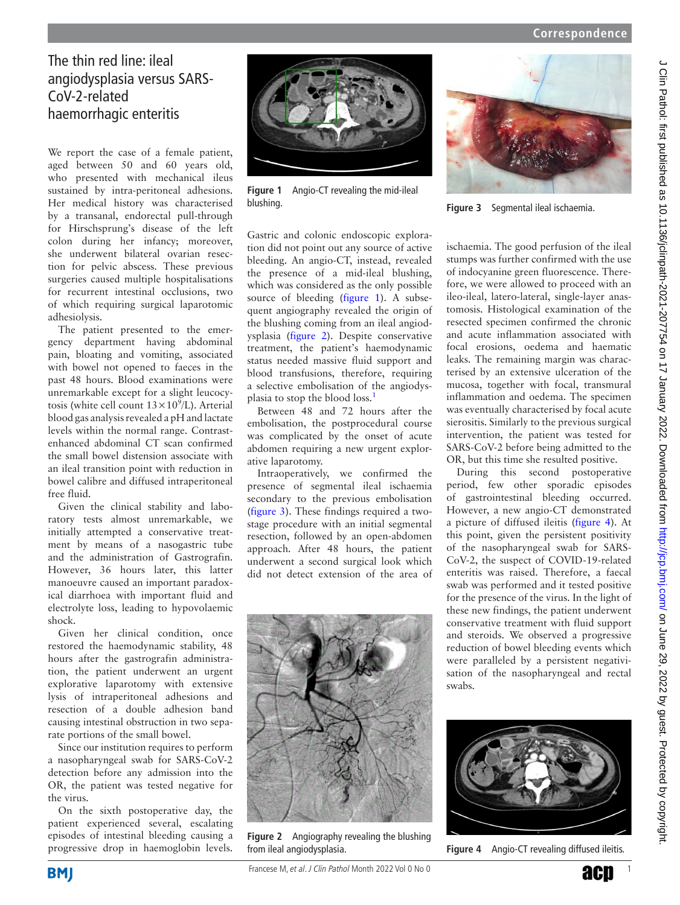# The thin red line: ileal angiodysplasia versus SARS-CoV-2-related haemorrhagic enteritis

We report the case of a female patient, aged between 50 and 60 years old, who presented with mechanical ileus sustained by intra-peritoneal adhesions. Her medical history was characterised by a transanal, endorectal pull-through for Hirschsprung's disease of the left colon during her infancy; moreover, she underwent bilateral ovarian resection for pelvic abscess. These previous surgeries caused multiple hospitalisations for recurrent intestinal occlusions, two of which requiring surgical laparotomic adhesiolysis.

The patient presented to the emergency department having abdominal pain, bloating and vomiting, associated with bowel not opened to faeces in the past 48 hours. Blood examinations were unremarkable except for a slight leucocytosis (white cell count  $13 \times 10^9$ /L). Arterial blood gas analysis revealed a pH and lactate levels within the normal range. Contrastenhanced abdominal CT scan confirmed the small bowel distension associate with an ileal transition point with reduction in bowel calibre and diffused intraperitoneal free fluid.

Given the clinical stability and laboratory tests almost unremarkable, we initially attempted a conservative treatment by means of a nasogastric tube and the administration of Gastrografin. However, 36 hours later, this latter manoeuvre caused an important paradoxical diarrhoea with important fluid and electrolyte loss, leading to hypovolaemic shock.

Given her clinical condition, once restored the haemodynamic stability, 48 hours after the gastrografin administration, the patient underwent an urgent explorative laparotomy with extensive lysis of intraperitoneal adhesions and resection of a double adhesion band causing intestinal obstruction in two separate portions of the small bowel.

Since our institution requires to perform a nasopharyngeal swab for SARS-CoV-2 detection before any admission into the OR, the patient was tested negative for the virus.

On the sixth postoperative day, the patient experienced several, escalating episodes of intestinal bleeding causing a progressive drop in haemoglobin levels.



**Figure 1** Angio-CT revealing the mid-ileal blushing.



**Figure 3** Segmental ileal ischaemia.

<span id="page-0-0"></span>Gastric and colonic endoscopic exploration did not point out any source of active bleeding. An angio-CT, instead, revealed the presence of a mid-ileal blushing, which was considered as the only possible source of bleeding ([figure](#page-0-0) 1). A subsequent angiography revealed the origin of the blushing coming from an ileal angiodysplasia [\(figure](#page-0-1) 2). Despite conservative treatment, the patient's haemodynamic status needed massive fluid support and blood transfusions, therefore, requiring a selective embolisation of the angiodys-plasia to stop the blood loss.<sup>[1](#page-1-0)</sup>

Between 48 and 72 hours after the embolisation, the postprocedural course was complicated by the onset of acute abdomen requiring a new urgent explorative laparotomy.

Intraoperatively, we confirmed the presence of segmental ileal ischaemia secondary to the previous embolisation ([figure](#page-0-2) 3). These findings required a twostage procedure with an initial segmental resection, followed by an open-abdomen approach. After 48 hours, the patient underwent a second surgical look which did not detect extension of the area of

<span id="page-0-2"></span>

During this second postoperative period, few other sporadic episodes of gastrointestinal bleeding occurred. However, a new angio-CT demonstrated a picture of diffused ileitis ([figure](#page-0-3) 4). At this point, given the persistent positivity of the nasopharyngeal swab for SARS-CoV-2, the suspect of COVID-19-related enteritis was raised. Therefore, a faecal swab was performed and it tested positive for the presence of the virus. In the light of these new findings, the patient underwent conservative treatment with fluid support and steroids. We observed a progressive reduction of bowel bleeding events which were paralleled by a persistent negativisation of the nasopharyngeal and rectal swabs.

<span id="page-0-1"></span>

**Figure 2** Angiography revealing the blushing from ileal angiodysplasia.

<span id="page-0-3"></span>

**Figure 4** Angio-CT revealing diffused ileitis.